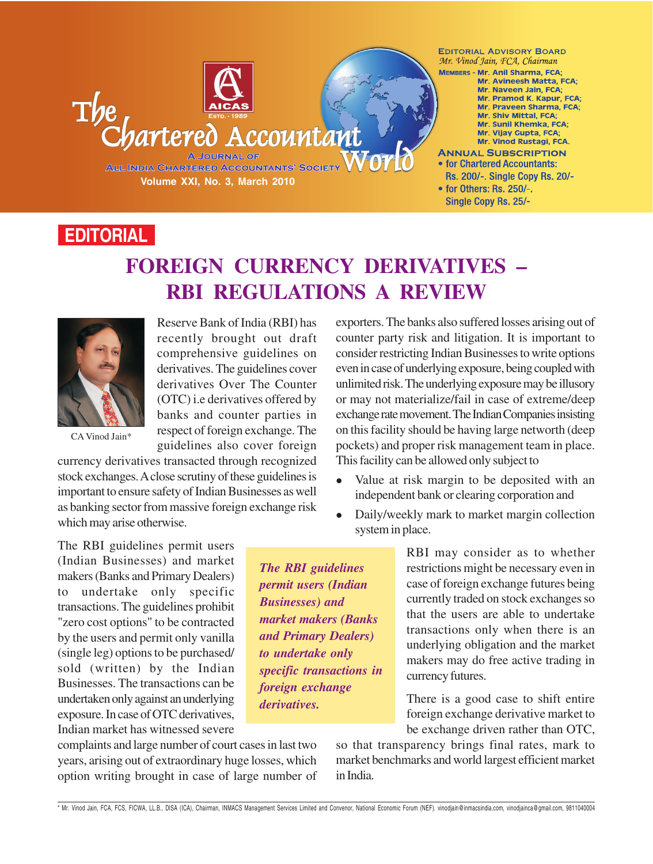**EDITORIAL ADVISORY BOARD** Mr. Vinod Jain, FCA, Chairman

MEMBERS - Mr. Anil Sharma, FCA; Mr. Avineesh Matta, FCA; Mr. Naveen Jain, FCA; Mr. Pramod K. Kapur, FCA; Mr. Praveen Sharma, FCA; Mr. Shiv Mittal, FCA; Mr. Sunil Khemka, FCA; Mr. Vijay Gupta, FCA; Mr. Vinod Rustagi, FCA.

- **ANNUAL SUBSCRIPTION** • for Chartered Accountants: Rs. 200/-, Single Copy Rs. 20/-
- for Others: Rs. 250/-. Single Copy Rs. 25/-

## **EDITORIAL**

# **FOREIGN CURRENCY DERIVATIVES – RBI REGULATIONS A REVIEW**

ccountan



Reserve Bank of India (RBI) has recently brought out draft comprehensive guidelines on derivatives. The guidelines cover derivatives Over The Counter (OTC) i.e derivatives offered by banks and counter parties in respect of foreign exchange. The guidelines also cover foreign

**Volume XXI, No. 3, March 2010**

A JOURNAL OF

**ALL INDIA CHARTERED ACCOUNTANTS' SOCIETY** 

artered

CA Vinod Jain\*

currency derivatives transacted through recognized stock exchanges. A close scrutiny of these guidelines is important to ensure safety of Indian Businesses as well as banking sector from massive foreign exchange risk which may arise otherwise.

exporters. The banks also suffered losses arising out of counter party risk and litigation. It is important to consider restricting Indian Businesses to write options even in case of underlying exposure, being coupled with unlimited risk. The underlying exposure may be illusory or may not materialize/fail in case of extreme/deep exchange rate movement. The Indian Companies insisting on this facility should be having large networth (deep pockets) and proper risk management team in place. This facility can be allowed only subject to

- Value at risk margin to be deposited with an independent bank or clearing corporation and
- Daily/weekly mark to market margin collection system in place.

The RBI guidelines permit users (Indian Businesses) and market makers (Banks and Primary Dealers) to undertake only specific transactions. The guidelines prohibit "zero cost options" to be contracted by the users and permit only vanilla (single leg) options to be purchased/ sold (written) by the Indian Businesses. The transactions can be undertaken only against an underlying exposure. In case of OTC derivatives, Indian market has witnessed severe

*The RBI guidelines permit users (Indian Businesses) and market makers (Banks and Primary Dealers) to undertake only specific transactions in foreign exchange derivatives.*

RBI may consider as to whether restrictions might be necessary even in case of foreign exchange futures being currently traded on stock exchanges so that the users are able to undertake transactions only when there is an underlying obligation and the market makers may do free active trading in currency futures.

There is a good case to shift entire foreign exchange derivative market to be exchange driven rather than OTC,

complaints and large number of court cases in last two years, arising out of extraordinary huge losses, which option writing brought in case of large number of

so that transparency brings final rates, mark to market benchmarks and world largest efficient market in India.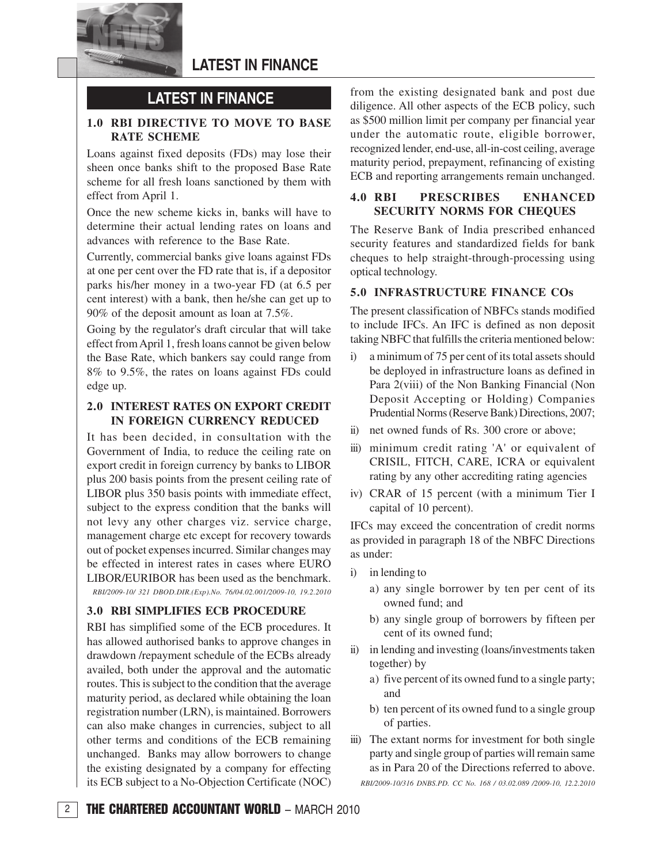

## **LATEST IN FINANCE**

## **LATEST IN FINANCE**

### **1.0 RBI DIRECTIVE TO MOVE TO BASE RATE SCHEME**

Loans against fixed deposits (FDs) may lose their sheen once banks shift to the proposed Base Rate scheme for all fresh loans sanctioned by them with effect from April 1.

Once the new scheme kicks in, banks will have to determine their actual lending rates on loans and advances with reference to the Base Rate.

Currently, commercial banks give loans against FDs at one per cent over the FD rate that is, if a depositor parks his/her money in a two-year FD (at 6.5 per cent interest) with a bank, then he/she can get up to 90% of the deposit amount as loan at 7.5%.

Going by the regulator's draft circular that will take effect from April 1, fresh loans cannot be given below the Base Rate, which bankers say could range from 8% to 9.5%, the rates on loans against FDs could edge up.

### **2.0 INTEREST RATES ON EXPORT CREDIT IN FOREIGN CURRENCY REDUCED**

It has been decided, in consultation with the Government of India, to reduce the ceiling rate on export credit in foreign currency by banks to LIBOR plus 200 basis points from the present ceiling rate of LIBOR plus 350 basis points with immediate effect, subject to the express condition that the banks will not levy any other charges viz. service charge, management charge etc except for recovery towards out of pocket expenses incurred. Similar changes may be effected in interest rates in cases where EURO LIBOR/EURIBOR has been used as the benchmark.

*RBI/2009-10/ 321 DBOD.DIR.(Exp).No. 76/04.02.001/2009-10, 19.2.2010*

### **3.0 RBI SIMPLIFIES ECB PROCEDURE**

RBI has simplified some of the ECB procedures. It has allowed authorised banks to approve changes in drawdown /repayment schedule of the ECBs already availed, both under the approval and the automatic routes. This is subject to the condition that the average maturity period, as declared while obtaining the loan registration number (LRN), is maintained. Borrowers can also make changes in currencies, subject to all other terms and conditions of the ECB remaining unchanged. Banks may allow borrowers to change the existing designated by a company for effecting its ECB subject to a No-Objection Certificate (NOC) from the existing designated bank and post due diligence. All other aspects of the ECB policy, such as \$500 million limit per company per financial year under the automatic route, eligible borrower, recognized lender, end-use, all-in-cost ceiling, average maturity period, prepayment, refinancing of existing ECB and reporting arrangements remain unchanged.

### **4.0 RBI PRESCRIBES ENHANCED SECURITY NORMS FOR CHEQUES**

The Reserve Bank of India prescribed enhanced security features and standardized fields for bank cheques to help straight-through-processing using optical technology.

#### **5.0 INFRASTRUCTURE FINANCE COs**

The present classification of NBFCs stands modified to include IFCs. An IFC is defined as non deposit taking NBFC that fulfills the criteria mentioned below:

- i) a minimum of 75 per cent of its total assets should be deployed in infrastructure loans as defined in Para 2(viii) of the Non Banking Financial (Non Deposit Accepting or Holding) Companies Prudential Norms (Reserve Bank) Directions, 2007;
- ii) net owned funds of Rs. 300 crore or above;
- iii) minimum credit rating 'A' or equivalent of CRISIL, FITCH, CARE, ICRA or equivalent rating by any other accrediting rating agencies
- iv) CRAR of 15 percent (with a minimum Tier I capital of 10 percent).

IFCs may exceed the concentration of credit norms as provided in paragraph 18 of the NBFC Directions as under:

- i) in lending to
	- a) any single borrower by ten per cent of its owned fund; and
	- b) any single group of borrowers by fifteen per cent of its owned fund;
- ii) in lending and investing (loans/investments taken together) by
	- a) five percent of its owned fund to a single party; and
	- b) ten percent of its owned fund to a single group of parties.
- iii) The extant norms for investment for both single party and single group of parties will remain same as in Para 20 of the Directions referred to above.

*RBI/2009-10/316 DNBS.PD. CC No. 168 / 03.02.089 /2009-10, 12.2.2010*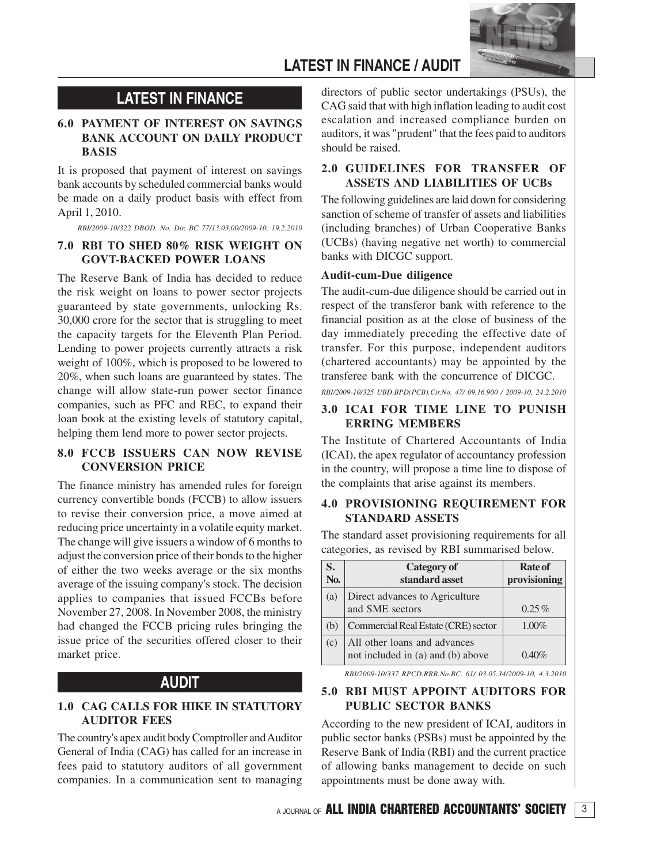

## **LATEST IN FINANCE / AUDIT**

## **LATEST IN FINANCE**

### **6.0 PAYMENT OF INTEREST ON SAVINGS BANK ACCOUNT ON DAILY PRODUCT BASIS**

It is proposed that payment of interest on savings bank accounts by scheduled commercial banks would be made on a daily product basis with effect from April 1, 2010.

*RBI/2009-10/322 DBOD. No. Dir. BC 77/13.03.00/2009-10, 19.2.2010*

### **7.0 RBI TO SHED 80% RISK WEIGHT ON GOVT-BACKED POWER LOANS**

The Reserve Bank of India has decided to reduce the risk weight on loans to power sector projects guaranteed by state governments, unlocking Rs. 30,000 crore for the sector that is struggling to meet the capacity targets for the Eleventh Plan Period. Lending to power projects currently attracts a risk weight of 100%, which is proposed to be lowered to 20%, when such loans are guaranteed by states. The change will allow state-run power sector finance companies, such as PFC and REC, to expand their loan book at the existing levels of statutory capital, helping them lend more to power sector projects.

### **8.0 FCCB ISSUERS CAN NOW REVISE CONVERSION PRICE**

The finance ministry has amended rules for foreign currency convertible bonds (FCCB) to allow issuers to revise their conversion price, a move aimed at reducing price uncertainty in a volatile equity market. The change will give issuers a window of 6 months to adjust the conversion price of their bonds to the higher of either the two weeks average or the six months average of the issuing company's stock. The decision applies to companies that issued FCCBs before November 27, 2008. In November 2008, the ministry had changed the FCCB pricing rules bringing the issue price of the securities offered closer to their market price.

### **AUDIT**

### **1.0 CAG CALLS FOR HIKE IN STATUTORY AUDITOR FEES**

The country's apex audit body Comptroller and Auditor General of India (CAG) has called for an increase in fees paid to statutory auditors of all government companies. In a communication sent to managing

directors of public sector undertakings (PSUs), the CAG said that with high inflation leading to audit cost escalation and increased compliance burden on auditors, it was "prudent" that the fees paid to auditors should be raised.

### **2.0 GUIDELINES FOR TRANSFER OF ASSETS AND LIABILITIES OF UCBs**

The following guidelines are laid down for considering sanction of scheme of transfer of assets and liabilities (including branches) of Urban Cooperative Banks (UCBs) (having negative net worth) to commercial banks with DICGC support.

#### **Audit-cum-Due diligence**

The audit-cum-due diligence should be carried out in respect of the transferor bank with reference to the financial position as at the close of business of the day immediately preceding the effective date of transfer. For this purpose, independent auditors (chartered accountants) may be appointed by the transferee bank with the concurrence of DICGC.

*RBI/2009-10/325 UBD.BPD(PCB).Cir.No. 47/ 09.16.900 / 2009-10, 24.2.2010*

### **3.0 ICAI FOR TIME LINE TO PUNISH ERRING MEMBERS**

The Institute of Chartered Accountants of India (ICAI), the apex regulator of accountancy profession in the country, will propose a time line to dispose of the complaints that arise against its members.

### **4.0 PROVISIONING REQUIREMENT FOR STANDARD ASSETS**

The standard asset provisioning requirements for all categories, as revised by RBI summarised below.

| S.               | Category of                         | <b>Rate of</b> |
|------------------|-------------------------------------|----------------|
| N <sub>0</sub> . | standard asset                      | provisioning   |
| (a)              | Direct advances to Agriculture      |                |
|                  | and SME sectors                     | $0.25\%$       |
| (b)              | Commercial Real Estate (CRE) sector | $1.00\%$       |
| (c)              | All other loans and advances        |                |
|                  | not included in (a) and (b) above   | $0.40\%$       |

*RBI/2009-10/337 RPCD.RRB.No.BC. 61/ 03.05.34/2009-10, 4.3.2010*

### **5.0 RBI MUST APPOINT AUDITORS FOR PUBLIC SECTOR BANKS**

According to the new president of ICAI, auditors in public sector banks (PSBs) must be appointed by the Reserve Bank of India (RBI) and the current practice of allowing banks management to decide on such appointments must be done away with.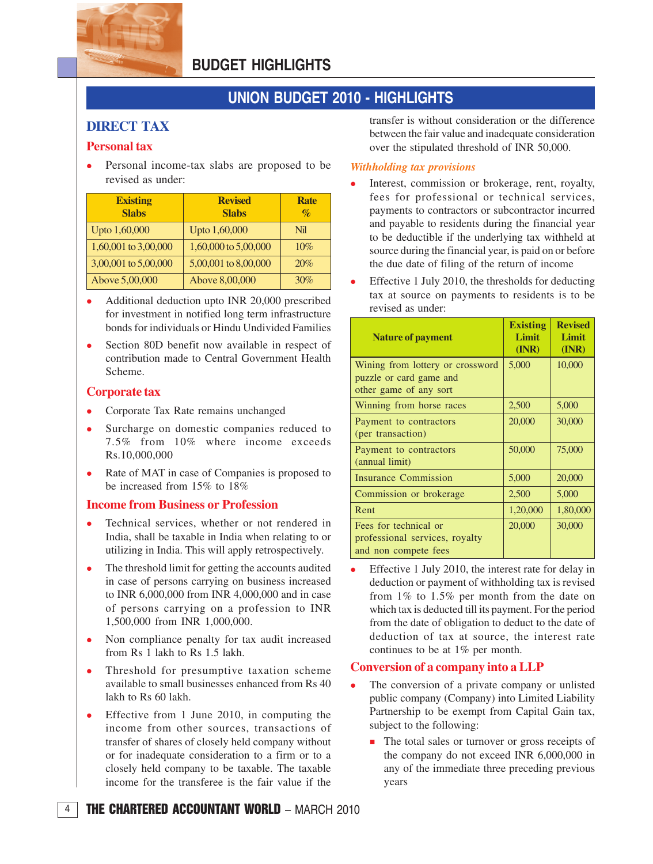

## **BUDGET HIGHLIGHTS**

## **UNION BUDGET 2010 - HIGHLIGHTS**

### **DIRECT TAX**

### **Personal tax**

 Personal income-tax slabs are proposed to be revised as under:

| <b>Existing</b><br><b>Slabs</b> | <b>Revised</b><br><b>Slabs</b> | <b>Rate</b><br>$\mathcal{O}'$ |
|---------------------------------|--------------------------------|-------------------------------|
| Upto 1,60,000                   | Upto 1,60,000                  | Nil                           |
| 1,60,001 to 3,00,000            | 1,60,000 to 5,00,000           | 10%                           |
| 3,00,001 to 5,00,000            | 5,00,001 to 8,00,000           | 20%                           |
| Above 5,00,000                  | Above 8,00,000                 | 30%                           |

- Additional deduction upto INR 20,000 prescribed for investment in notified long term infrastructure bonds for individuals or Hindu Undivided Families
- Section 80D benefit now available in respect of contribution made to Central Government Health Scheme.

### **Corporate tax**

- Corporate Tax Rate remains unchanged
- Surcharge on domestic companies reduced to 7.5% from 10% where income exceeds Rs.10,000,000
- Rate of MAT in case of Companies is proposed to be increased from 15% to 18%

### **Income from Business or Profession**

- Technical services, whether or not rendered in India, shall be taxable in India when relating to or utilizing in India. This will apply retrospectively.
- The threshold limit for getting the accounts audited in case of persons carrying on business increased to INR 6,000,000 from INR 4,000,000 and in case of persons carrying on a profession to INR 1,500,000 from INR 1,000,000.
- Non compliance penalty for tax audit increased from Rs 1 lakh to Rs 1.5 lakh.
- Threshold for presumptive taxation scheme available to small businesses enhanced from Rs 40 lakh to Rs 60 lakh.
- Effective from 1 June 2010, in computing the income from other sources, transactions of transfer of shares of closely held company without or for inadequate consideration to a firm or to a closely held company to be taxable. The taxable income for the transferee is the fair value if the

transfer is without consideration or the difference between the fair value and inadequate consideration over the stipulated threshold of INR 50,000.

#### *Withholding tax provisions*

- Interest, commission or brokerage, rent, royalty, fees for professional or technical services, payments to contractors or subcontractor incurred and payable to residents during the financial year to be deductible if the underlying tax withheld at source during the financial year, is paid on or before the due date of filing of the return of income
- Effective 1 July 2010, the thresholds for deducting tax at source on payments to residents is to be revised as under:

| <b>Nature of payment</b>                                                              | <b>Existing</b><br>Limit<br>(INR) | <b>Revised</b><br>Limit<br>(INR) |
|---------------------------------------------------------------------------------------|-----------------------------------|----------------------------------|
| Wining from lottery or crossword<br>puzzle or card game and<br>other game of any sort | 5,000                             | 10,000                           |
| Winning from horse races                                                              | 2,500                             | 5,000                            |
| Payment to contractors<br>(per transaction)                                           | 20,000                            | 30,000                           |
| Payment to contractors<br>(annual limit)                                              | 50,000                            | 75,000                           |
| <b>Insurance Commission</b>                                                           | 5,000                             | 20,000                           |
| Commission or brokerage                                                               | 2,500                             | 5,000                            |
| Rent                                                                                  | 1,20,000                          | 1,80,000                         |
| Fees for technical or<br>professional services, royalty<br>and non compete fees       | 20,000                            | 30,000                           |

 Effective 1 July 2010, the interest rate for delay in deduction or payment of withholding tax is revised from 1% to 1.5% per month from the date on which tax is deducted till its payment. For the period from the date of obligation to deduct to the date of deduction of tax at source, the interest rate continues to be at 1% per month.

### **Conversion of a company into a LLP**

- The conversion of a private company or unlisted public company (Company) into Limited Liability Partnership to be exempt from Capital Gain tax, subject to the following:
	- **The total sales or turnover or gross receipts of** the company do not exceed INR 6,000,000 in any of the immediate three preceding previous years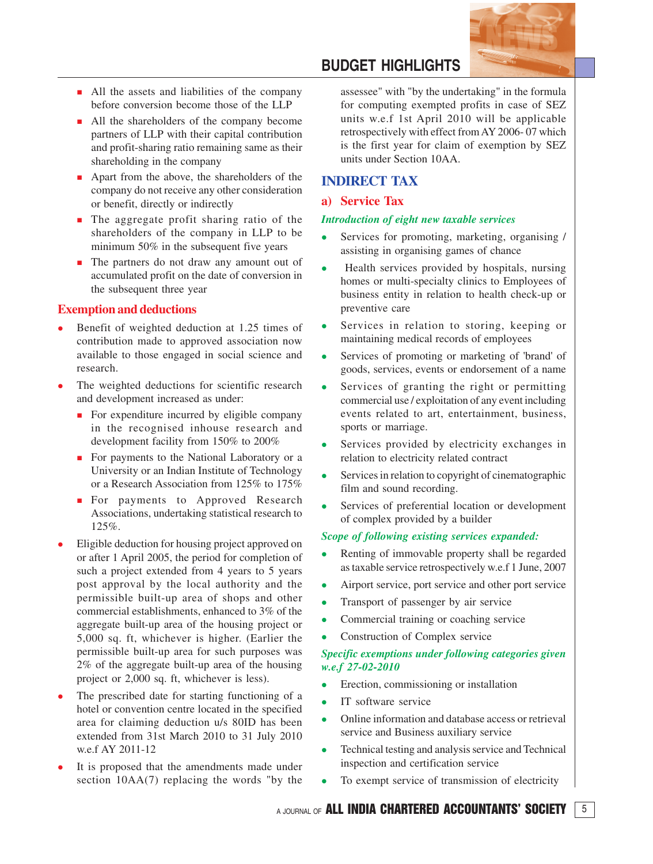

- All the assets and liabilities of the company before conversion become those of the LLP
- **All the shareholders of the company become** partners of LLP with their capital contribution and profit-sharing ratio remaining same as their shareholding in the company
- **•** Apart from the above, the shareholders of the company do not receive any other consideration or benefit, directly or indirectly
- **The aggregate profit sharing ratio of the** shareholders of the company in LLP to be minimum 50% in the subsequent five years
- **The partners do not draw any amount out of** accumulated profit on the date of conversion in the subsequent three year

### **Exemption and deductions**

- Benefit of weighted deduction at 1.25 times of contribution made to approved association now available to those engaged in social science and research.
- The weighted deductions for scientific research and development increased as under:
	- **For expenditure incurred by eligible company** in the recognised inhouse research and development facility from 150% to 200%
	- **For payments to the National Laboratory or a** University or an Indian Institute of Technology or a Research Association from 125% to 175%
	- **For payments to Approved Research** Associations, undertaking statistical research to 125%.
- Eligible deduction for housing project approved on or after 1 April 2005, the period for completion of such a project extended from 4 years to 5 years post approval by the local authority and the permissible built-up area of shops and other commercial establishments, enhanced to 3% of the aggregate built-up area of the housing project or 5,000 sq. ft, whichever is higher. (Earlier the permissible built-up area for such purposes was 2% of the aggregate built-up area of the housing project or 2,000 sq. ft, whichever is less).
- The prescribed date for starting functioning of a hotel or convention centre located in the specified area for claiming deduction u/s 80ID has been extended from 31st March 2010 to 31 July 2010 w.e.f AY 2011-12
- It is proposed that the amendments made under section 10AA(7) replacing the words "by the

## **BUDGET HIGHLIGHTS**

assessee" with "by the undertaking" in the formula for computing exempted profits in case of SEZ units w.e.f 1st April 2010 will be applicable retrospectively with effect from AY 2006- 07 which is the first year for claim of exemption by SEZ units under Section 10AA.

### **INDIRECT TAX**

### **a) Service Tax**

#### *Introduction of eight new taxable services*

- Services for promoting, marketing, organising / assisting in organising games of chance
- Health services provided by hospitals, nursing homes or multi-specialty clinics to Employees of business entity in relation to health check-up or preventive care
- Services in relation to storing, keeping or maintaining medical records of employees
- Services of promoting or marketing of 'brand' of goods, services, events or endorsement of a name
- Services of granting the right or permitting commercial use / exploitation of any event including events related to art, entertainment, business, sports or marriage.
- Services provided by electricity exchanges in relation to electricity related contract
- Services in relation to copyright of cinematographic film and sound recording.
- Services of preferential location or development of complex provided by a builder

### *Scope of following existing services expanded:*

- Renting of immovable property shall be regarded as taxable service retrospectively w.e.f 1 June, 2007
- Airport service, port service and other port service
- Transport of passenger by air service
- Commercial training or coaching service
- Construction of Complex service

### *Specific exemptions under following categories given w.e.f 27-02-2010*

- Erection, commissioning or installation
- IT software service
- Online information and database access or retrieval service and Business auxiliary service
- Technical testing and analysis service and Technical inspection and certification service
- To exempt service of transmission of electricity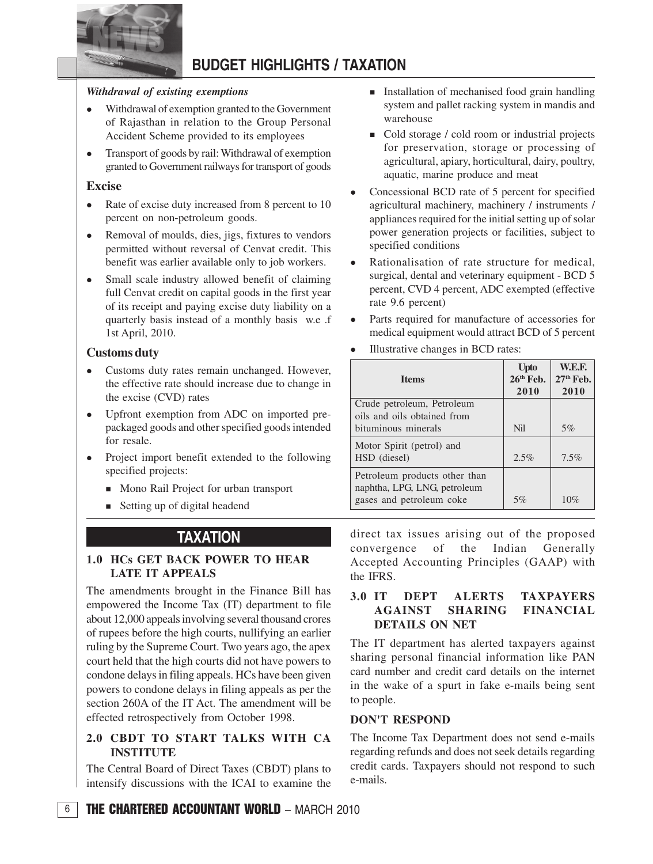

## **BUDGET HIGHLIGHTS / TAXATION**

### *Withdrawal of existing exemptions*

- Withdrawal of exemption granted to the Government of Rajasthan in relation to the Group Personal Accident Scheme provided to its employees
- Transport of goods by rail: Withdrawal of exemption granted to Government railways for transport of goods

### **Excise**

- Rate of excise duty increased from 8 percent to 10 percent on non-petroleum goods.
- Removal of moulds, dies, jigs, fixtures to vendors permitted without reversal of Cenvat credit. This benefit was earlier available only to job workers.
- Small scale industry allowed benefit of claiming full Cenvat credit on capital goods in the first year of its receipt and paying excise duty liability on a quarterly basis instead of a monthly basis w.e .f 1st April, 2010.

### **Customs duty**

- Customs duty rates remain unchanged. However, the effective rate should increase due to change in the excise (CVD) rates
- Upfront exemption from ADC on imported prepackaged goods and other specified goods intended for resale.
- Project import benefit extended to the following specified projects:
	- Mono Rail Project for urban transport
	- **Exercise 3 Setting up of digital headend**

### **TAXATION**

### **1.0 HCs GET BACK POWER TO HEAR LATE IT APPEALS**

The amendments brought in the Finance Bill has empowered the Income Tax (IT) department to file about 12,000 appeals involving several thousand crores of rupees before the high courts, nullifying an earlier ruling by the Supreme Court. Two years ago, the apex court held that the high courts did not have powers to condone delays in filing appeals. HCs have been given powers to condone delays in filing appeals as per the section 260A of the IT Act. The amendment will be effected retrospectively from October 1998.

### **2.0 CBDT TO START TALKS WITH CA INSTITUTE**

The Central Board of Direct Taxes (CBDT) plans to intensify discussions with the ICAI to examine the

- **Installation of mechanised food grain handling** system and pallet racking system in mandis and warehouse
- $\blacksquare$  Cold storage / cold room or industrial projects for preservation, storage or processing of agricultural, apiary, horticultural, dairy, poultry, aquatic, marine produce and meat
- Concessional BCD rate of 5 percent for specified agricultural machinery, machinery / instruments / appliances required for the initial setting up of solar power generation projects or facilities, subject to specified conditions
- Rationalisation of rate structure for medical, surgical, dental and veterinary equipment - BCD 5 percent, CVD 4 percent, ADC exempted (effective rate 9.6 percent)
- Parts required for manufacture of accessories for medical equipment would attract BCD of 5 percent
- Illustrative changes in BCD rates:

| <b>Items</b>                                                                              | <b>U</b> pto<br>26 <sup>th</sup> Feb. | <b>W.E.F.</b><br>$27th$ Feb. |
|-------------------------------------------------------------------------------------------|---------------------------------------|------------------------------|
|                                                                                           | 2010                                  | 2010                         |
| Crude petroleum, Petroleum<br>oils and oils obtained from                                 |                                       |                              |
| bituminous minerals                                                                       | Nil                                   | 5%                           |
| Motor Spirit (petrol) and<br>HSD (diesel)                                                 | $2.5\%$                               | 7.5%                         |
| Petroleum products other than<br>naphtha, LPG, LNG, petroleum<br>gases and petroleum coke | 5%                                    | 10%                          |

direct tax issues arising out of the proposed convergence of the Indian Generally Accepted Accounting Principles (GAAP) with the IFRS.

### **3.0 IT DEPT ALERTS TAXPAYERS AGAINST SHARING FINANCIAL DETAILS ON NET**

The IT department has alerted taxpayers against sharing personal financial information like PAN card number and credit card details on the internet in the wake of a spurt in fake e-mails being sent to people.

### **DON'T RESPOND**

The Income Tax Department does not send e-mails regarding refunds and does not seek details regarding credit cards. Taxpayers should not respond to such e-mails.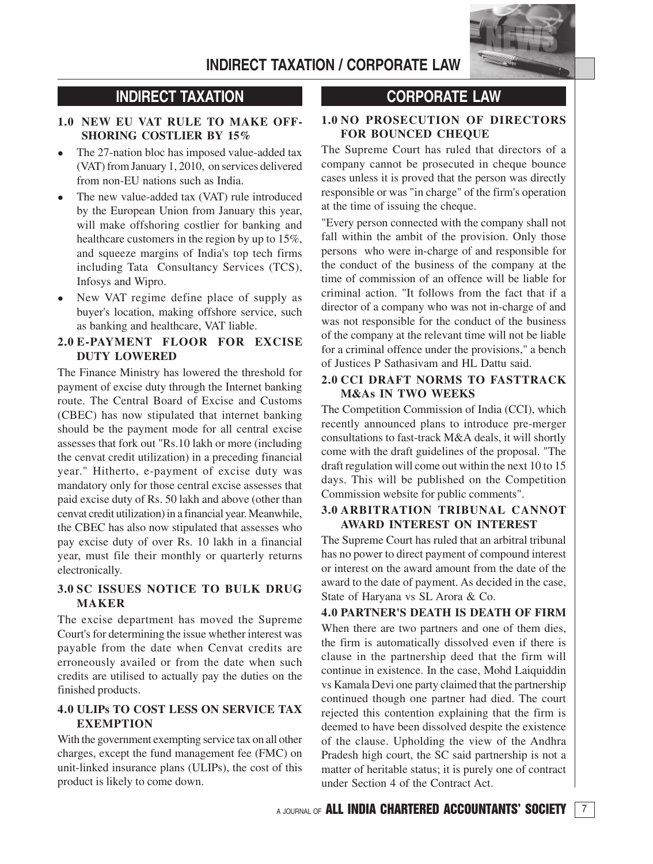

## **INDIRECT TAXATION**

### **1.0 NEW EU VAT RULE TO MAKE OFF-SHORING COSTLIER BY 15%**

- The 27-nation bloc has imposed value-added tax (VAT) from January 1, 2010, on services delivered from non-EU nations such as India.
- The new value-added tax (VAT) rule introduced by the European Union from January this year, will make offshoring costlier for banking and healthcare customers in the region by up to 15%, and squeeze margins of India's top tech firms including Tata Consultancy Services (TCS), Infosys and Wipro.
- New VAT regime define place of supply as buyer's location, making offshore service, such as banking and healthcare, VAT liable.

### **2.0 E-PAYMENT FLOOR FOR EXCISE DUTY LOWERED**

The Finance Ministry has lowered the threshold for payment of excise duty through the Internet banking route. The Central Board of Excise and Customs (CBEC) has now stipulated that internet banking should be the payment mode for all central excise assesses that fork out "Rs.10 lakh or more (including the cenvat credit utilization) in a preceding financial year." Hitherto, e-payment of excise duty was mandatory only for those central excise assesses that paid excise duty of Rs. 50 lakh and above (other than cenvat credit utilization) in a financial year. Meanwhile, the CBEC has also now stipulated that assesses who pay excise duty of over Rs. 10 lakh in a financial year, must file their monthly or quarterly returns electronically.

### **3.0 SC ISSUES NOTICE TO BULK DRUG MAKER**

The excise department has moved the Supreme Court's for determining the issue whether interest was payable from the date when Cenvat credits are erroneously availed or from the date when such credits are utilised to actually pay the duties on the finished products.

### **4.0 ULIPs TO COST LESS ON SERVICE TAX EXEMPTION**

With the government exempting service tax on all other charges, except the fund management fee (FMC) on unit-linked insurance plans (ULIPs), the cost of this product is likely to come down.

## **CORPORATE LAW**

### **1.0 NO PROSECUTION OF DIRECTORS FOR BOUNCED CHEQUE**

The Supreme Court has ruled that directors of a company cannot be prosecuted in cheque bounce cases unless it is proved that the person was directly responsible or was "in charge" of the firm's operation at the time of issuing the cheque.

"Every person connected with the company shall not fall within the ambit of the provision. Only those persons who were in-charge of and responsible for the conduct of the business of the company at the time of commission of an offence will be liable for criminal action. "It follows from the fact that if a director of a company who was not in-charge of and was not responsible for the conduct of the business of the company at the relevant time will not be liable for a criminal offence under the provisions," a bench of Justices P Sathasivam and HL Dattu said.

### **2.0 CCI DRAFT NORMS TO FASTTRACK M&As IN TWO WEEKS**

The Competition Commission of India (CCI), which recently announced plans to introduce pre-merger consultations to fast-track M&A deals, it will shortly come with the draft guidelines of the proposal. "The draft regulation will come out within the next 10 to 15 days. This will be published on the Competition Commission website for public comments".

### **3.0 ARBITRATION TRIBUNAL CANNOT AWARD INTEREST ON INTEREST**

The Supreme Court has ruled that an arbitral tribunal has no power to direct payment of compound interest or interest on the award amount from the date of the award to the date of payment. As decided in the case, State of Haryana vs SL Arora & Co.

**4.0 PARTNER'S DEATH IS DEATH OF FIRM** When there are two partners and one of them dies, the firm is automatically dissolved even if there is clause in the partnership deed that the firm will continue in existence. In the case, Mohd Laiquiddin vs Kamala Devi one party claimed that the partnership continued though one partner had died. The court rejected this contention explaining that the firm is deemed to have been dissolved despite the existence of the clause. Upholding the view of the Andhra Pradesh high court, the SC said partnership is not a matter of heritable status; it is purely one of contract under Section 4 of the Contract Act.